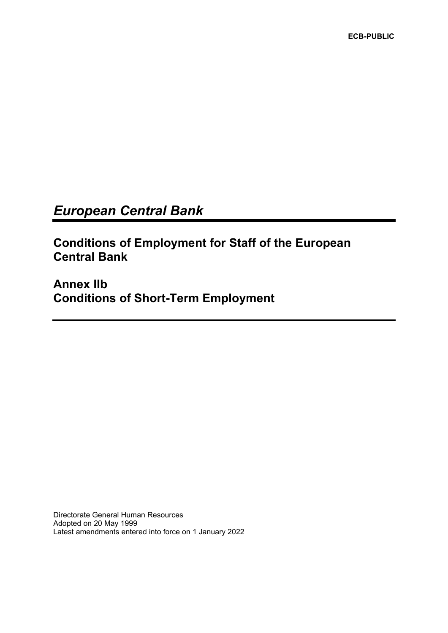**ECB-PUBLIC**

# *European Central Bank*

**Conditions of Employment for Staff of the European Central Bank** 

**Annex IIb Conditions of Short-Term Employment**

Directorate General Human Resources Adopted on 20 May 1999 Latest amendments entered into force on 1 January 2022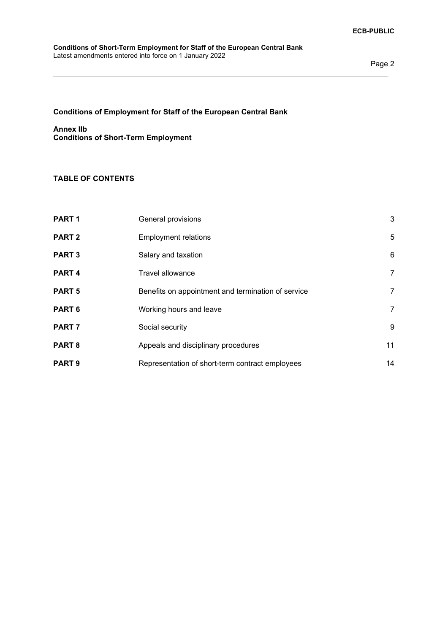#### **Conditions of Short-Term Employment for Staff of the European Central Bank** Latest amendments entered into force on 1 January 2022

# **Conditions of Employment for Staff of the European Central Bank**

# **Annex IIb Conditions of Short-Term Employment**

# **TABLE OF CONTENTS**

| PART <sub>1</sub> | General provisions                                 | 3  |
|-------------------|----------------------------------------------------|----|
| <b>PART 2</b>     | <b>Employment relations</b>                        | 5  |
| <b>PART 3</b>     | Salary and taxation                                | 6  |
| PART <sub>4</sub> | <b>Travel allowance</b>                            | 7  |
| <b>PART 5</b>     | Benefits on appointment and termination of service | 7  |
| PART <sub>6</sub> | Working hours and leave                            | 7  |
| PART <sub>7</sub> | Social security                                    | 9  |
| PART <sub>8</sub> | Appeals and disciplinary procedures                | 11 |
| <b>PART 9</b>     | Representation of short-term contract employees    | 14 |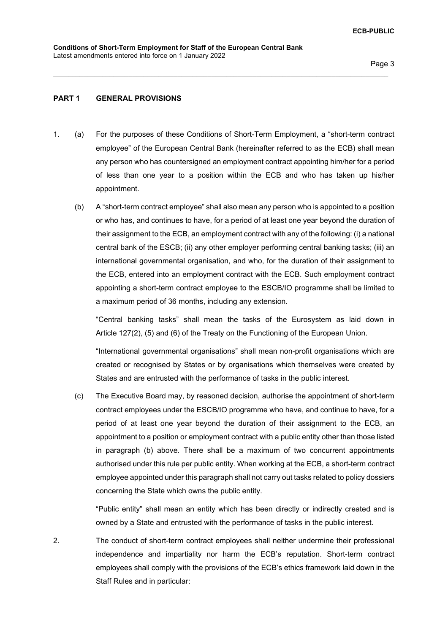## **PART 1 GENERAL PROVISIONS**

1. (a) For the purposes of these Conditions of Short-Term Employment, a "short-term contract employee" of the European Central Bank (hereinafter referred to as the ECB) shall mean any person who has countersigned an employment contract appointing him/her for a period of less than one year to a position within the ECB and who has taken up his/her appointment.

\_\_\_\_\_\_\_\_\_\_\_\_\_\_\_\_\_\_\_\_\_\_\_\_\_\_\_\_\_\_\_\_\_\_\_\_\_\_\_\_\_\_\_\_\_\_\_\_\_\_\_\_\_\_\_\_\_\_\_\_\_\_\_\_\_\_\_\_\_\_\_\_\_\_\_\_\_\_\_\_\_\_\_\_\_\_\_\_\_

(b) A "short-term contract employee" shall also mean any person who is appointed to a position or who has, and continues to have, for a period of at least one year beyond the duration of their assignment to the ECB, an employment contract with any of the following: (i) a national central bank of the ESCB; (ii) any other employer performing central banking tasks; (iii) an international governmental organisation, and who, for the duration of their assignment to the ECB, entered into an employment contract with the ECB. Such employment contract appointing a short-term contract employee to the ESCB/IO programme shall be limited to a maximum period of 36 months, including any extension.

"Central banking tasks" shall mean the tasks of the Eurosystem as laid down in Article 127(2), (5) and (6) of the Treaty on the Functioning of the European Union.

"International governmental organisations" shall mean non-profit organisations which are created or recognised by States or by organisations which themselves were created by States and are entrusted with the performance of tasks in the public interest.

(c) The Executive Board may, by reasoned decision, authorise the appointment of short-term contract employees under the ESCB/IO programme who have, and continue to have, for a period of at least one year beyond the duration of their assignment to the ECB, an appointment to a position or employment contract with a public entity other than those listed in paragraph (b) above. There shall be a maximum of two concurrent appointments authorised under this rule per public entity. When working at the ECB, a short-term contract employee appointed under this paragraph shall not carry out tasks related to policy dossiers concerning the State which owns the public entity.

"Public entity" shall mean an entity which has been directly or indirectly created and is owned by a State and entrusted with the performance of tasks in the public interest.

2. The conduct of short-term contract employees shall neither undermine their professional independence and impartiality nor harm the ECB's reputation. Short-term contract employees shall comply with the provisions of the ECB's ethics framework laid down in the Staff Rules and in particular: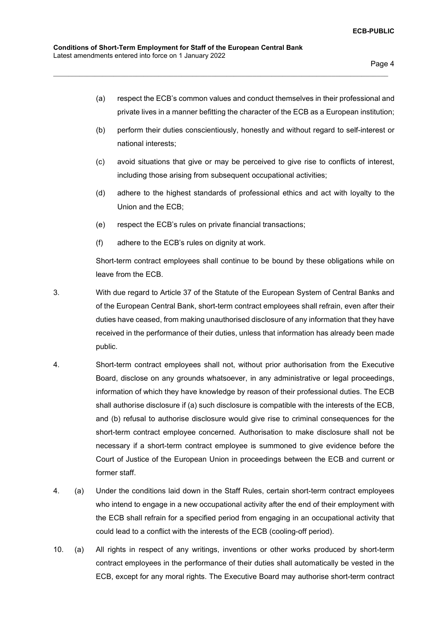(a) respect the ECB's common values and conduct themselves in their professional and private lives in a manner befitting the character of the ECB as a European institution;

\_\_\_\_\_\_\_\_\_\_\_\_\_\_\_\_\_\_\_\_\_\_\_\_\_\_\_\_\_\_\_\_\_\_\_\_\_\_\_\_\_\_\_\_\_\_\_\_\_\_\_\_\_\_\_\_\_\_\_\_\_\_\_\_\_\_\_\_\_\_\_\_\_\_\_\_\_\_\_\_\_\_\_\_\_\_\_\_\_

- (b) perform their duties conscientiously, honestly and without regard to self-interest or national interests;
- (c) avoid situations that give or may be perceived to give rise to conflicts of interest, including those arising from subsequent occupational activities;
- (d) adhere to the highest standards of professional ethics and act with loyalty to the Union and the ECB;
- (e) respect the ECB's rules on private financial transactions;
- (f) adhere to the ECB's rules on dignity at work.

Short-term contract employees shall continue to be bound by these obligations while on leave from the ECB.

- 3. With due regard to Article 37 of the Statute of the European System of Central Banks and of the European Central Bank, short-term contract employees shall refrain, even after their duties have ceased, from making unauthorised disclosure of any information that they have received in the performance of their duties, unless that information has already been made public.
- 4. Short-term contract employees shall not, without prior authorisation from the Executive Board, disclose on any grounds whatsoever, in any administrative or legal proceedings, information of which they have knowledge by reason of their professional duties. The ECB shall authorise disclosure if (a) such disclosure is compatible with the interests of the ECB, and (b) refusal to authorise disclosure would give rise to criminal consequences for the short-term contract employee concerned. Authorisation to make disclosure shall not be necessary if a short-term contract employee is summoned to give evidence before the Court of Justice of the European Union in proceedings between the ECB and current or former staff.
- 4. (a) Under the conditions laid down in the Staff Rules, certain short-term contract employees who intend to engage in a new occupational activity after the end of their employment with the ECB shall refrain for a specified period from engaging in an occupational activity that could lead to a conflict with the interests of the ECB (cooling-off period).
- 10. (a) All rights in respect of any writings, inventions or other works produced by short-term contract employees in the performance of their duties shall automatically be vested in the ECB, except for any moral rights. The Executive Board may authorise short-term contract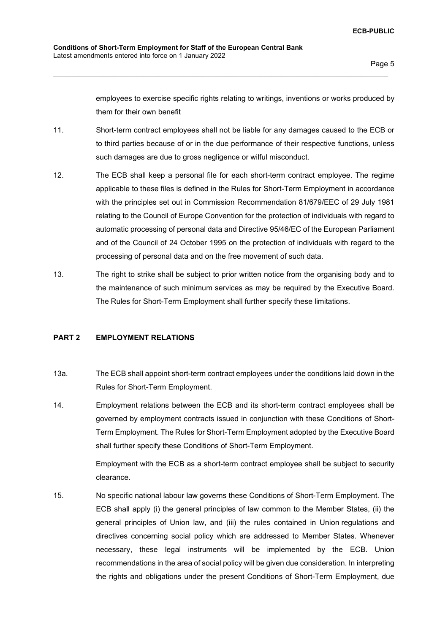employees to exercise specific rights relating to writings, inventions or works produced by them for their own benefit

11. Short-term contract employees shall not be liable for any damages caused to the ECB or to third parties because of or in the due performance of their respective functions, unless such damages are due to gross negligence or wilful misconduct.

\_\_\_\_\_\_\_\_\_\_\_\_\_\_\_\_\_\_\_\_\_\_\_\_\_\_\_\_\_\_\_\_\_\_\_\_\_\_\_\_\_\_\_\_\_\_\_\_\_\_\_\_\_\_\_\_\_\_\_\_\_\_\_\_\_\_\_\_\_\_\_\_\_\_\_\_\_\_\_\_\_\_\_\_\_\_\_\_\_

- 12. The ECB shall keep a personal file for each short-term contract employee. The regime applicable to these files is defined in the Rules for Short-Term Employment in accordance with the principles set out in Commission Recommendation 81/679/EEC of 29 July 1981 relating to the Council of Europe Convention for the protection of individuals with regard to automatic processing of personal data and Directive 95/46/EC of the European Parliament and of the Council of 24 October 1995 on the protection of individuals with regard to the processing of personal data and on the free movement of such data.
- 13. The right to strike shall be subject to prior written notice from the organising body and to the maintenance of such minimum services as may be required by the Executive Board. The Rules for Short-Term Employment shall further specify these limitations.

#### **PART 2 EMPLOYMENT RELATIONS**

- 13a. The ECB shall appoint short-term contract employees under the conditions laid down in the Rules for Short-Term Employment.
- 14. Employment relations between the ECB and its short-term contract employees shall be governed by employment contracts issued in conjunction with these Conditions of Short-Term Employment. The Rules for Short-Term Employment adopted by the Executive Board shall further specify these Conditions of Short-Term Employment.

Employment with the ECB as a short-term contract employee shall be subject to security clearance.

15. No specific national labour law governs these Conditions of Short-Term Employment. The ECB shall apply (i) the general principles of law common to the Member States, (ii) the general principles of Union law, and (iii) the rules contained in Union regulations and directives concerning social policy which are addressed to Member States. Whenever necessary, these legal instruments will be implemented by the ECB. Union recommendations in the area of social policy will be given due consideration. In interpreting the rights and obligations under the present Conditions of Short-Term Employment, due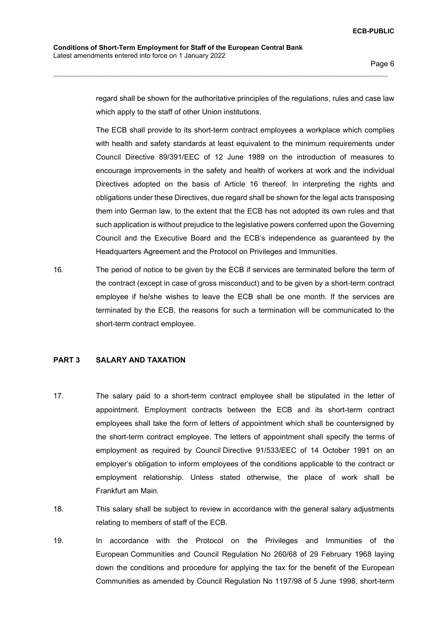**ECB-PUBLIC**

regard shall be shown for the authoritative principles of the regulations, rules and case law which apply to the staff of other Union institutions.

\_\_\_\_\_\_\_\_\_\_\_\_\_\_\_\_\_\_\_\_\_\_\_\_\_\_\_\_\_\_\_\_\_\_\_\_\_\_\_\_\_\_\_\_\_\_\_\_\_\_\_\_\_\_\_\_\_\_\_\_\_\_\_\_\_\_\_\_\_\_\_\_\_\_\_\_\_\_\_\_\_\_\_\_\_\_\_\_\_

The ECB shall provide to its short-term contract employees a workplace which complies with health and safety standards at least equivalent to the minimum requirements under Council Directive 89/391/EEC of 12 June 1989 on the introduction of measures to encourage improvements in the safety and health of workers at work and the individual Directives adopted on the basis of Article 16 thereof. In interpreting the rights and obligations under these Directives, due regard shall be shown for the legal acts transposing them into German law, to the extent that the ECB has not adopted its own rules and that such application is without prejudice to the legislative powers conferred upon the Governing Council and the Executive Board and the ECB's independence as guaranteed by the Headquarters Agreement and the Protocol on Privileges and Immunities.

16. The period of notice to be given by the ECB if services are terminated before the term of the contract (except in case of gross misconduct) and to be given by a short-term contract employee if he/she wishes to leave the ECB shall be one month. If the services are terminated by the ECB, the reasons for such a termination will be communicated to the short-term contract employee.

## **PART 3 SALARY AND TAXATION**

- 17. The salary paid to a short-term contract employee shall be stipulated in the letter of appointment. Employment contracts between the ECB and its short-term contract employees shall take the form of letters of appointment which shall be countersigned by the short-term contract employee. The letters of appointment shall specify the terms of employment as required by Council Directive 91/533/EEC of 14 October 1991 on an employer's obligation to inform employees of the conditions applicable to the contract or employment relationship. Unless stated otherwise, the place of work shall be Frankfurt am Main.
- 18. This salary shall be subject to review in accordance with the general salary adjustments relating to members of staff of the ECB.
- 19. In accordance with the Protocol on the Privileges and Immunities of the European Communities and Council Regulation No 260/68 of 29 February 1968 laying down the conditions and procedure for applying the tax for the benefit of the European Communities as amended by Council Regulation No 1197/98 of 5 June 1998, short-term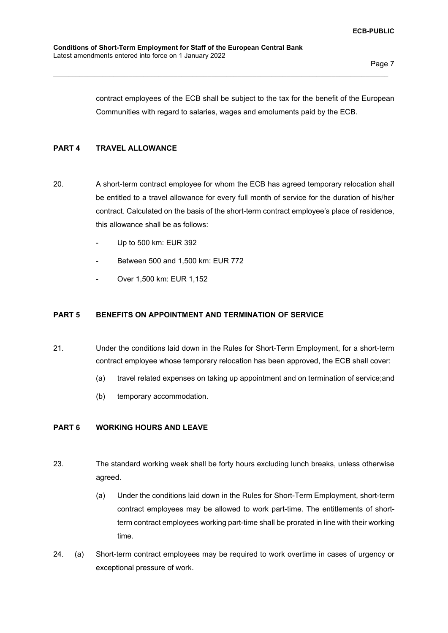contract employees of the ECB shall be subject to the tax for the benefit of the European Communities with regard to salaries, wages and emoluments paid by the ECB.

## **PART 4 TRAVEL ALLOWANCE**

20. A short-term contract employee for whom the ECB has agreed temporary relocation shall be entitled to a travel allowance for every full month of service for the duration of his/her contract. Calculated on the basis of the short-term contract employee's place of residence, this allowance shall be as follows:

\_\_\_\_\_\_\_\_\_\_\_\_\_\_\_\_\_\_\_\_\_\_\_\_\_\_\_\_\_\_\_\_\_\_\_\_\_\_\_\_\_\_\_\_\_\_\_\_\_\_\_\_\_\_\_\_\_\_\_\_\_\_\_\_\_\_\_\_\_\_\_\_\_\_\_\_\_\_\_\_\_\_\_\_\_\_\_\_\_

- Up to 500 km: EUR 392
- Between 500 and 1,500 km: EUR 772
- Over 1,500 km: EUR 1,152

#### **PART 5 BENEFITS ON APPOINTMENT AND TERMINATION OF SERVICE**

- 21. Under the conditions laid down in the Rules for Short-Term Employment, for a short-term contract employee whose temporary relocation has been approved, the ECB shall cover:
	- (a) travel related expenses on taking up appointment and on termination of service;and
	- (b) temporary accommodation.

#### **PART 6 WORKING HOURS AND LEAVE**

- 23. The standard working week shall be forty hours excluding lunch breaks, unless otherwise agreed.
	- (a) Under the conditions laid down in the Rules for Short-Term Employment, short-term contract employees may be allowed to work part-time. The entitlements of shortterm contract employees working part-time shall be prorated in line with their working time.
- 24. (a) Short-term contract employees may be required to work overtime in cases of urgency or exceptional pressure of work.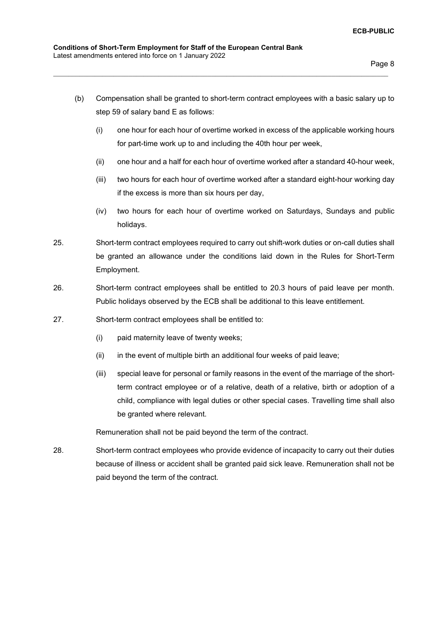(b) Compensation shall be granted to short-term contract employees with a basic salary up to step 59 of salary band E as follows:

\_\_\_\_\_\_\_\_\_\_\_\_\_\_\_\_\_\_\_\_\_\_\_\_\_\_\_\_\_\_\_\_\_\_\_\_\_\_\_\_\_\_\_\_\_\_\_\_\_\_\_\_\_\_\_\_\_\_\_\_\_\_\_\_\_\_\_\_\_\_\_\_\_\_\_\_\_\_\_\_\_\_\_\_\_\_\_\_\_

- (i) one hour for each hour of overtime worked in excess of the applicable working hours for part-time work up to and including the 40th hour per week,
- (ii) one hour and a half for each hour of overtime worked after a standard 40-hour week,
- (iii) two hours for each hour of overtime worked after a standard eight-hour working day if the excess is more than six hours per day,
- (iv) two hours for each hour of overtime worked on Saturdays, Sundays and public holidays.
- 25. Short-term contract employees required to carry out shift-work duties or on-call duties shall be granted an allowance under the conditions laid down in the Rules for Short-Term Employment.
- 26. Short-term contract employees shall be entitled to 20.3 hours of paid leave per month. Public holidays observed by the ECB shall be additional to this leave entitlement.
- 27. Short-term contract employees shall be entitled to:
	- (i) paid maternity leave of twenty weeks;
	- (ii) in the event of multiple birth an additional four weeks of paid leave;
	- (iii) special leave for personal or family reasons in the event of the marriage of the shortterm contract employee or of a relative, death of a relative, birth or adoption of a child, compliance with legal duties or other special cases. Travelling time shall also be granted where relevant.

Remuneration shall not be paid beyond the term of the contract.

28. Short-term contract employees who provide evidence of incapacity to carry out their duties because of illness or accident shall be granted paid sick leave. Remuneration shall not be paid beyond the term of the contract.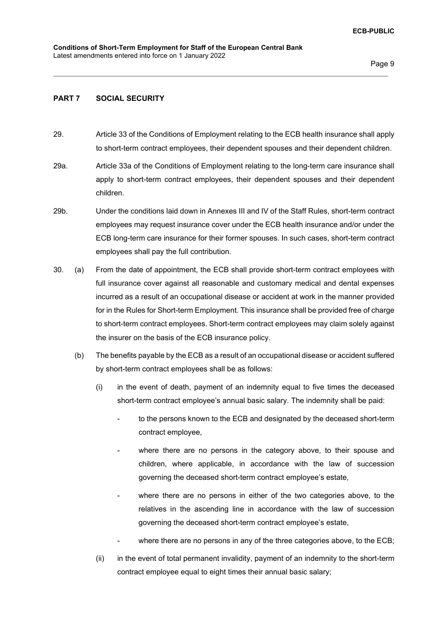## **PART 7 SOCIAL SECURITY**

29. Article 33 of the Conditions of Employment relating to the ECB health insurance shall apply to short-term contract employees, their dependent spouses and their dependent children.

- 29a. Article 33a of the Conditions of Employment relating to the long-term care insurance shall apply to short-term contract employees, their dependent spouses and their dependent children.
- 29b. Under the conditions laid down in Annexes III and IV of the Staff Rules, short-term contract employees may request insurance cover under the ECB health insurance and/or under the ECB long-term care insurance for their former spouses. In such cases, short-term contract employees shall pay the full contribution.
- 30. (a) From the date of appointment, the ECB shall provide short-term contract employees with full insurance cover against all reasonable and customary medical and dental expenses incurred as a result of an occupational disease or accident at work in the manner provided for in the Rules for Short-term Employment. This insurance shall be provided free of charge to short-term contract employees. Short-term contract employees may claim solely against the insurer on the basis of the ECB insurance policy.
	- (b) The benefits payable by the ECB as a result of an occupational disease or accident suffered by short-term contract employees shall be as follows:
		- (i) in the event of death, payment of an indemnity equal to five times the deceased short-term contract employee's annual basic salary. The indemnity shall be paid:
			- to the persons known to the ECB and designated by the deceased short-term contract employee,
			- where there are no persons in the category above, to their spouse and children, where applicable, in accordance with the law of succession governing the deceased short-term contract employee's estate,
			- where there are no persons in either of the two categories above, to the relatives in the ascending line in accordance with the law of succession governing the deceased short-term contract employee's estate,
			- where there are no persons in any of the three categories above, to the ECB;
		- (ii) in the event of total permanent invalidity, payment of an indemnity to the short-term contract employee equal to eight times their annual basic salary;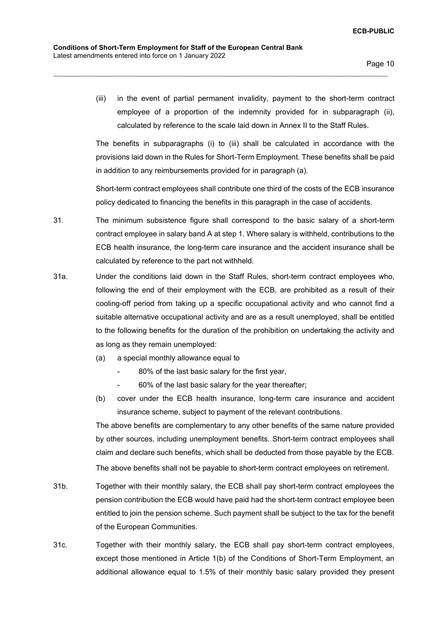(iii) in the event of partial permanent invalidity, payment to the short-term contract employee of a proportion of the indemnity provided for in subparagraph (ii), calculated by reference to the scale laid down in Annex II to the Staff Rules.

\_\_\_\_\_\_\_\_\_\_\_\_\_\_\_\_\_\_\_\_\_\_\_\_\_\_\_\_\_\_\_\_\_\_\_\_\_\_\_\_\_\_\_\_\_\_\_\_\_\_\_\_\_\_\_\_\_\_\_\_\_\_\_\_\_\_\_\_\_\_\_\_\_\_\_\_\_\_\_\_\_\_\_\_\_\_\_\_\_

The benefits in subparagraphs (i) to (iii) shall be calculated in accordance with the provisions laid down in the Rules for Short-Term Employment. These benefits shall be paid in addition to any reimbursements provided for in paragraph (a).

Short-term contract employees shall contribute one third of the costs of the ECB insurance policy dedicated to financing the benefits in this paragraph in the case of accidents.

- 31. The minimum subsistence figure shall correspond to the basic salary of a short-term contract employee in salary band A at step 1. Where salary is withheld, contributions to the ECB health insurance, the long-term care insurance and the accident insurance shall be calculated by reference to the part not withheld.
- 31a. Under the conditions laid down in the Staff Rules, short-term contract employees who, following the end of their employment with the ECB, are prohibited as a result of their cooling-off period from taking up a specific occupational activity and who cannot find a suitable alternative occupational activity and are as a result unemployed, shall be entitled to the following benefits for the duration of the prohibition on undertaking the activity and as long as they remain unemployed:
	- (a) a special monthly allowance equal to
		- 80% of the last basic salary for the first year.
		- 60% of the last basic salary for the year thereafter;
	- (b) cover under the ECB health insurance, long-term care insurance and accident insurance scheme, subject to payment of the relevant contributions.

The above benefits are complementary to any other benefits of the same nature provided by other sources, including unemployment benefits. Short-term contract employees shall claim and declare such benefits, which shall be deducted from those payable by the ECB. The above benefits shall not be payable to short-term contract employees on retirement.

- 31b. Together with their monthly salary, the ECB shall pay short-term contract employees the pension contribution the ECB would have paid had the short-term contract employee been entitled to join the pension scheme. Such payment shall be subject to the tax for the benefit of the European Communities.
- 31c. Together with their monthly salary, the ECB shall pay short-term contract employees, except those mentioned in Article 1(b) of the Conditions of Short-Term Employment, an additional allowance equal to 1.5% of their monthly basic salary provided they present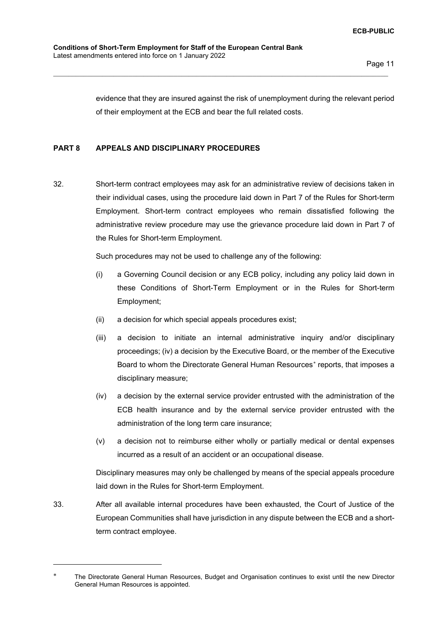evidence that they are insured against the risk of unemployment during the relevant period of their employment at the ECB and bear the full related costs.

#### **PART 8 APPEALS AND DISCIPLINARY PROCEDURES**

32. Short-term contract employees may ask for an administrative review of decisions taken in their individual cases, using the procedure laid down in Part 7 of the Rules for Short-term Employment. Short-term contract employees who remain dissatisfied following the administrative review procedure may use the grievance procedure laid down in Part 7 of the Rules for Short-term Employment.

\_\_\_\_\_\_\_\_\_\_\_\_\_\_\_\_\_\_\_\_\_\_\_\_\_\_\_\_\_\_\_\_\_\_\_\_\_\_\_\_\_\_\_\_\_\_\_\_\_\_\_\_\_\_\_\_\_\_\_\_\_\_\_\_\_\_\_\_\_\_\_\_\_\_\_\_\_\_\_\_\_\_\_\_\_\_\_\_\_

Such procedures may not be used to challenge any of the following:

- (i) a Governing Council decision or any ECB policy, including any policy laid down in these Conditions of Short-Term Employment or in the Rules for Short-term Employment;
- (ii) a decision for which special appeals procedures exist;
- (iii) a decision to initiate an internal administrative inquiry and/or disciplinary proceedings; (iv) a decision by the Executive Board, or the member of the Executive Board to whom the Directorate General Human Resources<sup>∗</sup> reports, that imposes a disciplinary measure;
- (iv) a decision by the external service provider entrusted with the administration of the ECB health insurance and by the external service provider entrusted with the administration of the long term care insurance;
- (v) a decision not to reimburse either wholly or partially medical or dental expenses incurred as a result of an accident or an occupational disease.

Disciplinary measures may only be challenged by means of the special appeals procedure laid down in the Rules for Short-term Employment.

33. After all available internal procedures have been exhausted, the Court of Justice of the European Communities shall have jurisdiction in any dispute between the ECB and a shortterm contract employee.

The Directorate General Human Resources, Budget and Organisation continues to exist until the new Director General Human Resources is appointed.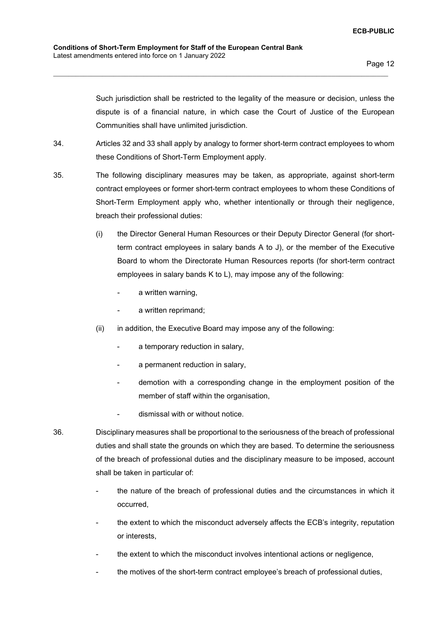Such jurisdiction shall be restricted to the legality of the measure or decision, unless the dispute is of a financial nature, in which case the Court of Justice of the European Communities shall have unlimited jurisdiction.

34. Articles 32 and 33 shall apply by analogy to former short-term contract employees to whom these Conditions of Short-Term Employment apply.

- 35. The following disciplinary measures may be taken, as appropriate, against short-term contract employees or former short-term contract employees to whom these Conditions of Short-Term Employment apply who, whether intentionally or through their negligence, breach their professional duties:
	- (i) the Director General Human Resources or their Deputy Director General (for shortterm contract employees in salary bands A to J), or the member of the Executive Board to whom the Directorate Human Resources reports (for short-term contract employees in salary bands K to L), may impose any of the following:
		- a written warning,
		- a written reprimand:
	- (ii) in addition, the Executive Board may impose any of the following:
		- a temporary reduction in salary,
		- a permanent reduction in salary,
		- demotion with a corresponding change in the employment position of the member of staff within the organisation.
		- dismissal with or without notice.
- 36. Disciplinary measures shall be proportional to the seriousness of the breach of professional duties and shall state the grounds on which they are based. To determine the seriousness of the breach of professional duties and the disciplinary measure to be imposed, account shall be taken in particular of:
	- the nature of the breach of professional duties and the circumstances in which it occurred,
	- the extent to which the misconduct adversely affects the ECB's integrity, reputation or interests,
	- the extent to which the misconduct involves intentional actions or negligence,
	- the motives of the short-term contract employee's breach of professional duties,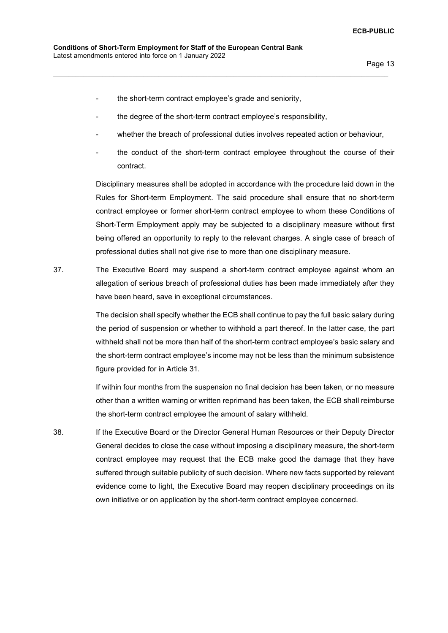- the short-term contract employee's grade and seniority,
- the degree of the short-term contract employee's responsibility,

\_\_\_\_\_\_\_\_\_\_\_\_\_\_\_\_\_\_\_\_\_\_\_\_\_\_\_\_\_\_\_\_\_\_\_\_\_\_\_\_\_\_\_\_\_\_\_\_\_\_\_\_\_\_\_\_\_\_\_\_\_\_\_\_\_\_\_\_\_\_\_\_\_\_\_\_\_\_\_\_\_\_\_\_\_\_\_\_\_

- whether the breach of professional duties involves repeated action or behaviour,
- the conduct of the short-term contract employee throughout the course of their contract.

Disciplinary measures shall be adopted in accordance with the procedure laid down in the Rules for Short-term Employment. The said procedure shall ensure that no short-term contract employee or former short-term contract employee to whom these Conditions of Short-Term Employment apply may be subjected to a disciplinary measure without first being offered an opportunity to reply to the relevant charges. A single case of breach of professional duties shall not give rise to more than one disciplinary measure.

37. The Executive Board may suspend a short-term contract employee against whom an allegation of serious breach of professional duties has been made immediately after they have been heard, save in exceptional circumstances.

> The decision shall specify whether the ECB shall continue to pay the full basic salary during the period of suspension or whether to withhold a part thereof. In the latter case, the part withheld shall not be more than half of the short-term contract employee's basic salary and the short-term contract employee's income may not be less than the minimum subsistence figure provided for in Article 31.

> If within four months from the suspension no final decision has been taken, or no measure other than a written warning or written reprimand has been taken, the ECB shall reimburse the short-term contract employee the amount of salary withheld.

38. If the Executive Board or the Director General Human Resources or their Deputy Director General decides to close the case without imposing a disciplinary measure, the short-term contract employee may request that the ECB make good the damage that they have suffered through suitable publicity of such decision. Where new facts supported by relevant evidence come to light, the Executive Board may reopen disciplinary proceedings on its own initiative or on application by the short-term contract employee concerned.